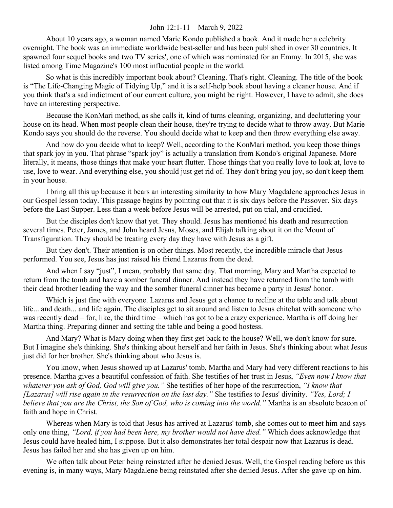## John 12:1-11 – March 9, 2022

About 10 years ago, a woman named Marie Kondo published a book. And it made her a celebrity overnight. The book was an immediate worldwide best-seller and has been published in over 30 countries. It spawned four sequel books and two TV series', one of which was nominated for an Emmy. In 2015, she was listed among Time Magazine's 100 most influential people in the world.

So what is this incredibly important book about? Cleaning. That's right. Cleaning. The title of the book is "The Life-Changing Magic of Tidying Up," and it is a self-help book about having a cleaner house. And if you think that's a sad indictment of our current culture, you might be right. However, I have to admit, she does have an interesting perspective.

Because the KonMari method, as she calls it, kind of turns cleaning, organizing, and decluttering your house on its head. When most people clean their house, they're trying to decide what to throw away. But Marie Kondo says you should do the reverse. You should decide what to keep and then throw everything else away.

And how do you decide what to keep? Well, according to the KonMari method, you keep those things that spark joy in you. That phrase "spark joy" is actually a translation from Kondo's original Japanese. More literally, it means, those things that make your heart flutter. Those things that you really love to look at, love to use, love to wear. And everything else, you should just get rid of. They don't bring you joy, so don't keep them in your house.

I bring all this up because it bears an interesting similarity to how Mary Magdalene approaches Jesus in our Gospel lesson today. This passage begins by pointing out that it is six days before the Passover. Six days before the Last Supper. Less than a week before Jesus will be arrested, put on trial, and crucified.

But the disciples don't know that yet. They should. Jesus has mentioned his death and resurrection several times. Peter, James, and John heard Jesus, Moses, and Elijah talking about it on the Mount of Transfiguration. They should be treating every day they have with Jesus as a gift.

But they don't. Their attention is on other things. Most recently, the incredible miracle that Jesus performed. You see, Jesus has just raised his friend Lazarus from the dead.

And when I say "just", I mean, probably that same day. That morning, Mary and Martha expected to return from the tomb and have a somber funeral dinner. And instead they have returned from the tomb with their dead brother leading the way and the somber funeral dinner has become a party in Jesus' honor.

Which is just fine with everyone. Lazarus and Jesus get a chance to recline at the table and talk about life... and death... and life again. The disciples get to sit around and listen to Jesus chitchat with someone who was recently dead – for, like, the third time – which has got to be a crazy experience. Martha is off doing her Martha thing. Preparing dinner and setting the table and being a good hostess.

And Mary? What is Mary doing when they first get back to the house? Well, we don't know for sure. But I imagine she's thinking. She's thinking about herself and her faith in Jesus. She's thinking about what Jesus just did for her brother. She's thinking about who Jesus is.

You know, when Jesus showed up at Lazarus' tomb, Martha and Mary had very different reactions to his presence. Martha gives a beautiful confession of faith. She testifies of her trust in Jesus, *"Even now I know that whatever you ask of God, God will give you."* She testifies of her hope of the resurrection, *"I know that [Lazarus] will rise again in the resurrection on the last day."* She testifies to Jesus' divinity. *"Yes, Lord; I believe that you are the Christ, the Son of God, who is coming into the world."* Martha is an absolute beacon of faith and hope in Christ.

Whereas when Mary is told that Jesus has arrived at Lazarus' tomb, she comes out to meet him and says only one thing, *"Lord, if you had been here, my brother would not have died."* Which does acknowledge that Jesus could have healed him, I suppose. But it also demonstrates her total despair now that Lazarus is dead. Jesus has failed her and she has given up on him.

We often talk about Peter being reinstated after he denied Jesus. Well, the Gospel reading before us this evening is, in many ways, Mary Magdalene being reinstated after she denied Jesus. After she gave up on him.